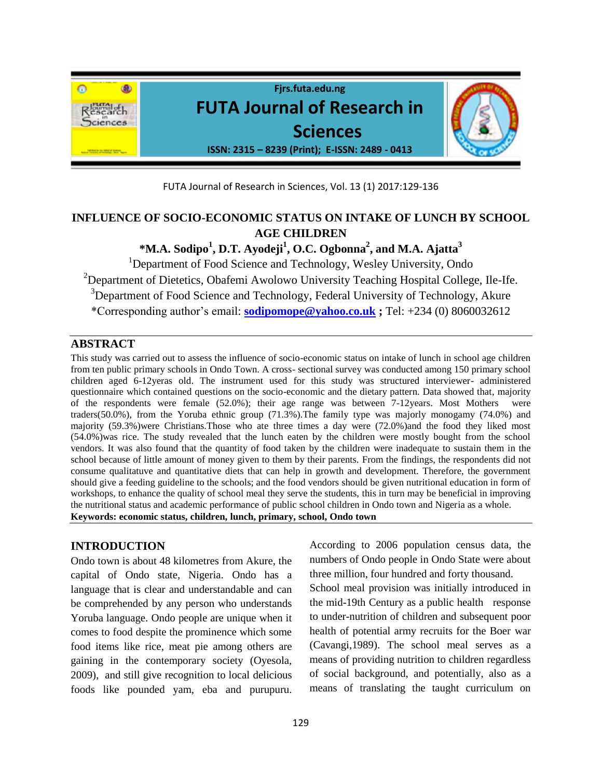

FUTA Journal of Research in Sciences, Vol. 13 (1) 2017:129-136

# **INFLUENCE OF SOCIO-ECONOMIC STATUS ON INTAKE OF LUNCH BY SCHOOL AGE CHILDREN**

**\*M.A. Sodipo<sup>1</sup> , D.T. Ayodeji<sup>1</sup> , O.C. Ogbonna<sup>2</sup> , and M.A. Ajatta<sup>3</sup>**

<sup>1</sup>Department of Food Science and Technology, Wesley University, Ondo  $2$ Department of Dietetics, Obafemi Awolowo University Teaching Hospital College, Ile-Ife. <sup>3</sup>Department of Food Science and Technology, Federal University of Technology, Akure \*Corresponding author's email: **[sodipomope@yahoo.co.uk](mailto:sodipomope@yahoo.co.uk) ;** Tel: +234 (0) 8060032612

# **ABSTRACT**

This study was carried out to assess the influence of socio-economic status on intake of lunch in school age children from ten public primary schools in Ondo Town. A cross- sectional survey was conducted among 150 primary school children aged 6-12yeras old. The instrument used for this study was structured interviewer- administered questionnaire which contained questions on the socio-economic and the dietary pattern. Data showed that, majority of the respondents were female (52.0%); their age range was between 7-12years. Most Mothers were traders(50.0%), from the Yoruba ethnic group (71.3%).The family type was majorly monogamy (74.0%) and majority (59.3%)were Christians.Those who ate three times a day were (72.0%)and the food they liked most (54.0%)was rice. The study revealed that the lunch eaten by the children were mostly bought from the school vendors. It was also found that the quantity of food taken by the children were inadequate to sustain them in the school because of little amount of money given to them by their parents. From the findings, the respondents did not consume qualitatuve and quantitative diets that can help in growth and development. Therefore, the government should give a feeding guideline to the schools; and the food vendors should be given nutritional education in form of workshops, to enhance the quality of school meal they serve the students, this in turn may be beneficial in improving the nutritional status and academic performance of public school children in Ondo town and Nigeria as a whole. **Keywords: economic status, children, lunch, primary, school, Ondo town**

# **INTRODUCTION**

Ondo town is about 48 kilometres from Akure, the capital of Ondo state, Nigeria. Ondo has a language that is clear and understandable and can be comprehended by any person who understands Yoruba language. Ondo people are unique when it comes to food despite the prominence which some food items like rice, meat pie among others are gaining in the contemporary society (Oyesola, 2009), and still give recognition to local delicious foods like pounded yam, eba and purupuru.

According to 2006 population census data, the numbers of Ondo people in Ondo State were about three million, four hundred and forty thousand. School meal provision was initially introduced in the mid-19th Century as a public health response to under-nutrition of children and subsequent poor health of potential army recruits for the Boer war (Cavangi,1989). The school meal serves as a means of providing nutrition to children regardless of social background, and potentially, also as a means of translating the taught curriculum on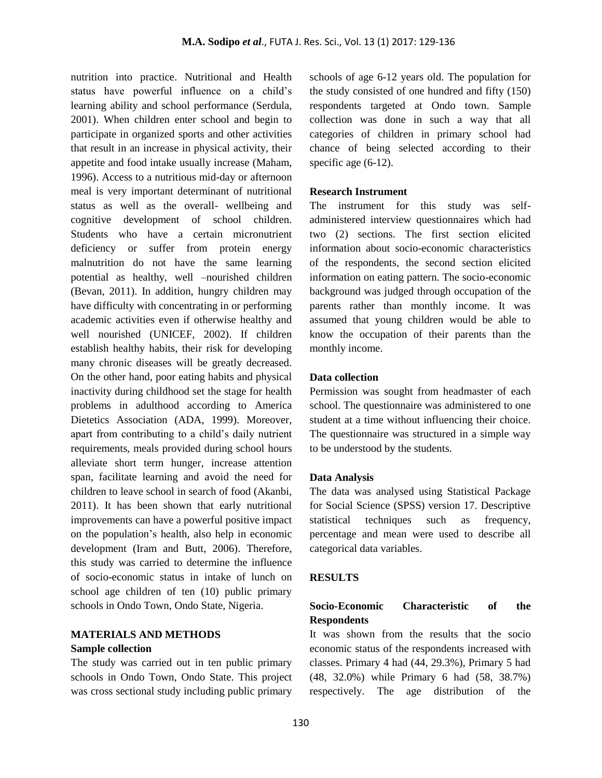nutrition into practice. Nutritional and Health status have powerful influence on a child's learning ability and school performance (Serdula, 2001). When children enter school and begin to participate in organized sports and other activities that result in an increase in physical activity, their appetite and food intake usually increase (Maham, 1996). Access to a nutritious mid-day or afternoon meal is very important determinant of nutritional status as well as the overall- wellbeing and cognitive development of school children. Students who have a certain micronutrient deficiency or suffer from protein energy malnutrition do not have the same learning potential as healthy, well –nourished children (Bevan, 2011). In addition, hungry children may have difficulty with concentrating in or performing academic activities even if otherwise healthy and well nourished (UNICEF, 2002). If children establish healthy habits, their risk for developing many chronic diseases will be greatly decreased. On the other hand, poor eating habits and physical inactivity during childhood set the stage for health problems in adulthood according to America Dietetics Association (ADA, 1999). Moreover, apart from contributing to a child's daily nutrient requirements, meals provided during school hours alleviate short term hunger, increase attention span, facilitate learning and avoid the need for children to leave school in search of food (Akanbi, 2011). It has been shown that early nutritional improvements can have a powerful positive impact on the population's health, also help in economic development (Iram and Butt, 2006). Therefore, this study was carried to determine the influence of socio-economic status in intake of lunch on school age children of ten (10) public primary schools in Ondo Town, Ondo State, Nigeria.

# **MATERIALS AND METHODS**

#### **Sample collection**

The study was carried out in ten public primary schools in Ondo Town, Ondo State. This project was cross sectional study including public primary

schools of age 6-12 years old. The population for the study consisted of one hundred and fifty (150) respondents targeted at Ondo town. Sample collection was done in such a way that all categories of children in primary school had chance of being selected according to their specific age  $(6-12)$ .

### **Research Instrument**

The instrument for this study was selfadministered interview questionnaires which had two (2) sections. The first section elicited information about socio-economic characteristics of the respondents, the second section elicited information on eating pattern. The socio-economic background was judged through occupation of the parents rather than monthly income. It was assumed that young children would be able to know the occupation of their parents than the monthly income.

### **Data collection**

Permission was sought from headmaster of each school. The questionnaire was administered to one student at a time without influencing their choice. The questionnaire was structured in a simple way to be understood by the students.

#### **Data Analysis**

The data was analysed using Statistical Package for Social Science (SPSS) version 17. Descriptive statistical techniques such as frequency, percentage and mean were used to describe all categorical data variables.

#### **RESULTS**

# **Socio-Economic Characteristic of the Respondents**

It was shown from the results that the socio economic status of the respondents increased with classes. Primary 4 had (44, 29.3%), Primary 5 had (48, 32.0%) while Primary 6 had (58, 38.7%) respectively. The age distribution of the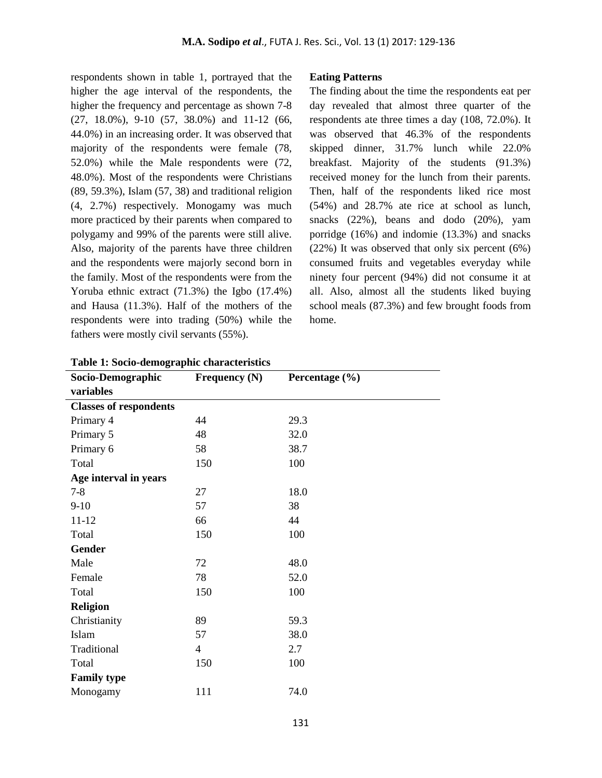respondents shown in table 1, portrayed that the higher the age interval of the respondents, the higher the frequency and percentage as shown 7-8 (27, 18.0%), 9-10 (57, 38.0%) and 11-12 (66, 44.0%) in an increasing order. It was observed that majority of the respondents were female (78, 52.0%) while the Male respondents were (72, 48.0%). Most of the respondents were Christians (89, 59.3%), Islam (57, 38) and traditional religion (4, 2.7%) respectively. Monogamy was much more practiced by their parents when compared to polygamy and 99% of the parents were still alive. Also, majority of the parents have three children and the respondents were majorly second born in the family. Most of the respondents were from the Yoruba ethnic extract (71.3%) the Igbo (17.4%) and Hausa (11.3%). Half of the mothers of the respondents were into trading (50%) while the fathers were mostly civil servants (55%).

### **Eating Patterns**

The finding about the time the respondents eat per day revealed that almost three quarter of the respondents ate three times a day (108, 72.0%). It was observed that 46.3% of the respondents skipped dinner, 31.7% lunch while 22.0% breakfast. Majority of the students (91.3%) received money for the lunch from their parents. Then, half of the respondents liked rice most (54%) and 28.7% ate rice at school as lunch, snacks (22%), beans and dodo (20%), yam porridge (16%) and indomie (13.3%) and snacks (22%) It was observed that only six percent (6%) consumed fruits and vegetables everyday while ninety four percent (94%) did not consume it at all. Also, almost all the students liked buying school meals (87.3%) and few brought foods from home.

| ------                        |                 |                    |
|-------------------------------|-----------------|--------------------|
| Socio-Demographic             | Frequency $(N)$ | Percentage $(\% )$ |
| variables                     |                 |                    |
| <b>Classes of respondents</b> |                 |                    |
| Primary 4                     | 44              | 29.3               |
| Primary 5                     | 48              | 32.0               |
| Primary 6                     | 58              | 38.7               |
| Total                         | 150             | 100                |
| Age interval in years         |                 |                    |
| $7 - 8$                       | 27              | 18.0               |
| $9-10$                        | 57              | 38                 |
| $11 - 12$                     | 66              | 44                 |
| Total                         | 150             | 100                |
| <b>Gender</b>                 |                 |                    |
| Male                          | 72              | 48.0               |
| Female                        | 78              | 52.0               |
| Total                         | 150             | 100                |
| <b>Religion</b>               |                 |                    |
| Christianity                  | 89              | 59.3               |
| Islam                         | 57              | 38.0               |
| Traditional                   | $\overline{4}$  | 2.7                |
| Total                         | 150             | 100                |
| <b>Family type</b>            |                 |                    |
| Monogamy                      | 111             | 74.0               |

**Table 1: Socio-demographic characteristics**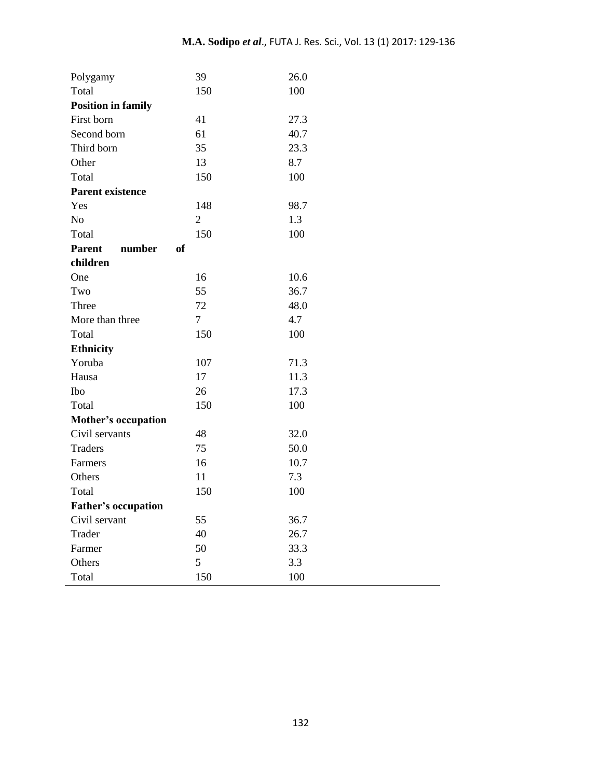| Polygamy                             | 39             | 26.0 |
|--------------------------------------|----------------|------|
| Total                                | 150            | 100  |
| <b>Position in family</b>            |                |      |
| First born                           | 41             | 27.3 |
| Second born                          | 61             | 40.7 |
| Third born                           | 35             | 23.3 |
| Other                                | 13             | 8.7  |
| Total                                | 150            | 100  |
| <b>Parent existence</b>              |                |      |
| Yes                                  | 148            | 98.7 |
| No                                   | $\overline{2}$ | 1.3  |
| Total                                | 150            | 100  |
| <b>Parent</b><br>number<br><b>of</b> |                |      |
| children                             |                |      |
| One                                  | 16             | 10.6 |
| Two                                  | 55             | 36.7 |
| Three                                | 72             | 48.0 |
| More than three                      | $\overline{7}$ | 4.7  |
| Total                                | 150            | 100  |
| <b>Ethnicity</b>                     |                |      |
| Yoruba                               | 107            | 71.3 |
| Hausa                                | 17             | 11.3 |
| Ibo                                  | 26             | 17.3 |
| Total                                | 150            | 100  |
| <b>Mother's occupation</b>           |                |      |
| Civil servants                       | 48             | 32.0 |
| <b>Traders</b>                       | 75             | 50.0 |
| Farmers                              | 16             | 10.7 |
| Others                               | 11             | 7.3  |
| Total                                | 150            | 100  |
| <b>Father's occupation</b>           |                |      |
| Civil servant                        | 55             | 36.7 |
| Trader                               | 40             | 26.7 |
| Farmer                               | 50             | 33.3 |
| Others                               | 5              | 3.3  |
| Total                                | 150            | 100  |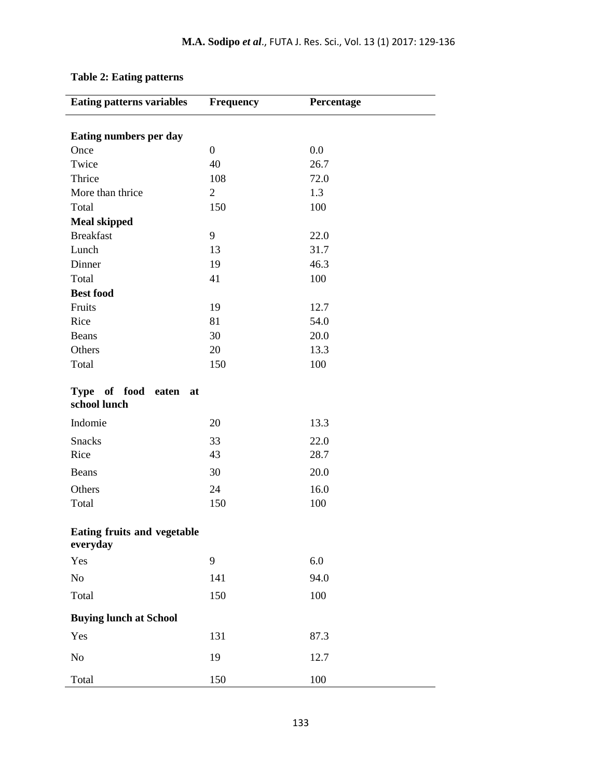| <b>Eating patterns variables</b>         | <b>Frequency</b> | Percentage |
|------------------------------------------|------------------|------------|
| Eating numbers per day                   |                  |            |
| Once                                     | $\boldsymbol{0}$ | 0.0        |
| Twice                                    | 40               | 26.7       |
| Thrice                                   | 108              | 72.0       |
| More than thrice                         | $\overline{2}$   | 1.3        |
| Total                                    | 150              | 100        |
| <b>Meal skipped</b>                      |                  |            |
| <b>Breakfast</b>                         | 9                | 22.0       |
| Lunch                                    | 13               | 31.7       |
| Dinner                                   | 19               | 46.3       |
| Total                                    | 41               | 100        |
| <b>Best food</b>                         |                  |            |
| Fruits                                   | 19               | 12.7       |
| Rice                                     | 81               | 54.0       |
| Beans                                    | 30               | 20.0       |
| Others                                   | 20               | 13.3       |
| Total                                    | 150              | 100        |
| Type of food<br>eaten at<br>school lunch |                  |            |
| Indomie                                  | 20               | 13.3       |
| <b>Snacks</b>                            | 33               | 22.0       |
| Rice                                     | 43               | 28.7       |
| Beans                                    | 30               | 20.0       |
| Others                                   | 24               | 16.0       |
| Total                                    | 150              | 100        |
| Eating fruits and vegetable<br>everyday  |                  |            |
| Yes                                      | 9                | 6.0        |
| No                                       | 141              | 94.0       |
| Total                                    | 150              | 100        |
| <b>Buying lunch at School</b>            |                  |            |
| Yes                                      | 131              | 87.3       |
| No                                       | 19               | 12.7       |
| Total                                    | 150              | 100        |

# **Table 2: Eating patterns**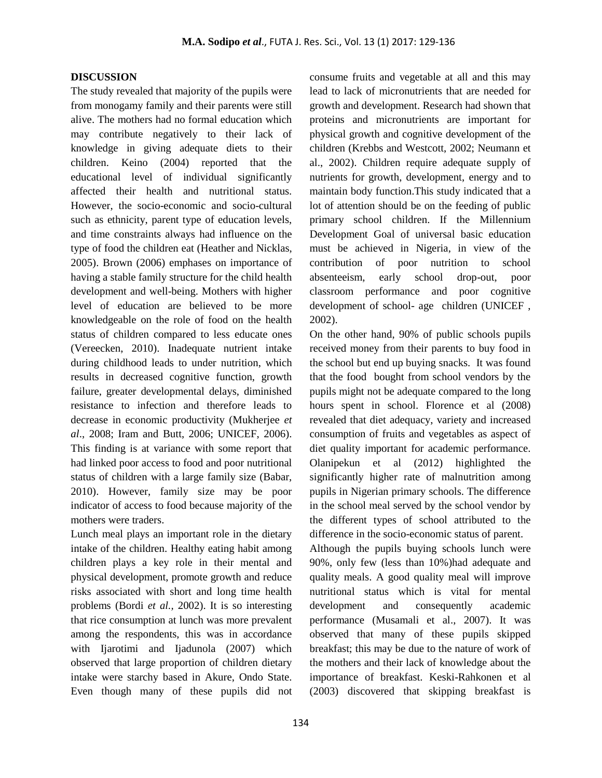#### **DISCUSSION**

The study revealed that majority of the pupils were from monogamy family and their parents were still alive. The mothers had no formal education which may contribute negatively to their lack of knowledge in giving adequate diets to their children. Keino (2004) reported that the educational level of individual significantly affected their health and nutritional status. However, the socio-economic and socio-cultural such as ethnicity, parent type of education levels, and time constraints always had influence on the type of food the children eat (Heather and Nicklas, 2005). Brown (2006) emphases on importance of having a stable family structure for the child health development and well-being. Mothers with higher level of education are believed to be more knowledgeable on the role of food on the health status of children compared to less educate ones (Vereecken, 2010). Inadequate nutrient intake during childhood leads to under nutrition, which results in decreased cognitive function, growth failure, greater developmental delays, diminished resistance to infection and therefore leads to decrease in economic productivity (Mukherjee *et al*., 2008; Iram and Butt, 2006; UNICEF, 2006). This finding is at variance with some report that had linked poor access to food and poor nutritional status of children with a large family size (Babar, 2010). However, family size may be poor indicator of access to food because majority of the mothers were traders.

Lunch meal plays an important role in the dietary intake of the children. Healthy eating habit among children plays a key role in their mental and physical development, promote growth and reduce risks associated with short and long time health problems (Bordi *et al.,* 2002). It is so interesting that rice consumption at lunch was more prevalent among the respondents, this was in accordance with Ijarotimi and Ijadunola (2007) which observed that large proportion of children dietary intake were starchy based in Akure, Ondo State. Even though many of these pupils did not

consume fruits and vegetable at all and this may lead to lack of micronutrients that are needed for growth and development. Research had shown that proteins and micronutrients are important for physical growth and cognitive development of the children (Krebbs and Westcott, 2002; Neumann et al., 2002). Children require adequate supply of nutrients for growth, development, energy and to maintain body function.This study indicated that a lot of attention should be on the feeding of public primary school children. If the Millennium Development Goal of universal basic education must be achieved in Nigeria, in view of the contribution of poor nutrition to school absenteeism, early school drop-out, poor classroom performance and poor cognitive development of school- age children (UNICEF , 2002).

On the other hand, 90% of public schools pupils received money from their parents to buy food in the school but end up buying snacks. It was found that the food bought from school vendors by the pupils might not be adequate compared to the long hours spent in school. Florence et al (2008) revealed that diet adequacy, variety and increased consumption of fruits and vegetables as aspect of diet quality important for academic performance. Olanipekun et al (2012) highlighted the significantly higher rate of malnutrition among pupils in Nigerian primary schools. The difference in the school meal served by the school vendor by the different types of school attributed to the difference in the socio-economic status of parent.

Although the pupils buying schools lunch were 90%, only few (less than 10%)had adequate and quality meals. A good quality meal will improve nutritional status which is vital for mental development and consequently academic performance (Musamali et al., 2007). It was observed that many of these pupils skipped breakfast; this may be due to the nature of work of the mothers and their lack of knowledge about the importance of breakfast. Keski-Rahkonen et al (2003) discovered that skipping breakfast is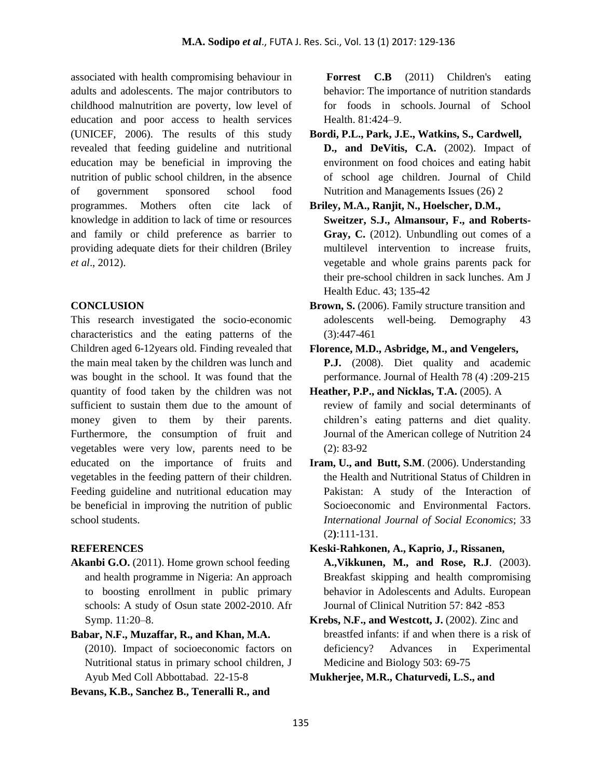associated with health compromising behaviour in adults and adolescents. The major contributors to childhood malnutrition are poverty, low level of education and poor access to health services (UNICEF, 2006). The results of this study revealed that feeding guideline and nutritional education may be beneficial in improving the nutrition of public school children, in the absence of government sponsored school food programmes. Mothers often cite lack of knowledge in addition to lack of time or resources and family or child preference as barrier to providing adequate diets for their children (Briley *et al*., 2012).

### **CONCLUSION**

This research investigated the socio-economic characteristics and the eating patterns of the Children aged 6-12years old. Finding revealed that the main meal taken by the children was lunch and was bought in the school. It was found that the quantity of food taken by the children was not sufficient to sustain them due to the amount of money given to them by their parents. Furthermore, the consumption of fruit and vegetables were very low, parents need to be educated on the importance of fruits and vegetables in the feeding pattern of their children. Feeding guideline and nutritional education may be beneficial in improving the nutrition of public school students.

#### **REFERENCES**

**Akanbi G.O.** (2011). Home grown school feeding and health programme in Nigeria: An approach to boosting enrollment in public primary schools: A study of Osun state 2002-2010. Afr Symp. 11:20–8.

## **Babar, N.F., Muzaffar, R., and Khan, M.A.**

(2010). Impact of socioeconomic factors on Nutritional status in primary school children, J Ayub Med Coll Abbottabad. 22-15-8

**Bevans, K.B., Sanchez B., Teneralli R., and**

Forrest **C.B** (2011) Children's eating behavior: The importance of nutrition standards for foods in schools. Journal of School Health. 81:424–9.

**Bordi, P.L., Park, J.E., Watkins, S., Cardwell,**

**D., and DeVitis, C.A.** (2002). Impact of environment on food choices and eating habit of school age children. Journal of Child Nutrition and Managements Issues (26) 2

**Briley, M.A., Ranjit, N., Hoelscher, D.M., Sweitzer, S.J., Almansour, F., and Roberts-Gray, C.** (2012). Unbundling out comes of a multilevel intervention to increase fruits, vegetable and whole grains parents pack for their pre-school children in sack lunches. Am J Health Educ. 43; 135-42

**Brown, S.** (2006). Family structure transition and adolescents well-being. Demography 43 (3):447-461

**Florence, M.D., Asbridge, M., and Vengelers, P.J.** (2008). Diet quality and academic performance. Journal of Health 78 (4) :209-215

- **Heather, P.P., and Nicklas, T.A.** (2005). A review of family and social determinants of children's eating patterns and diet quality. Journal of the American college of Nutrition 24 (2): 83-92
- **Iram, U., and Butt, S.M**. (2006). Understanding the Health and Nutritional Status of Children in Pakistan: A study of the Interaction of Socioeconomic and Environmental Factors. *International Journal of Social Economics*; 33 (2**)**:111-131.
- **Keski-Rahkonen, A., Kaprio, J., Rissanen, A.,Vikkunen, M., and Rose, R.J**. (2003). Breakfast skipping and health compromising behavior in Adolescents and Adults. European Journal of Clinical Nutrition 57: 842 -853
- **Krebs, N.F., and Westcott, J.** (2002). Zinc and breastfed infants: if and when there is a risk of deficiency? Advances in Experimental Medicine and Biology 503: 69-75

**Mukherjee, M.R., Chaturvedi, L.S., and**